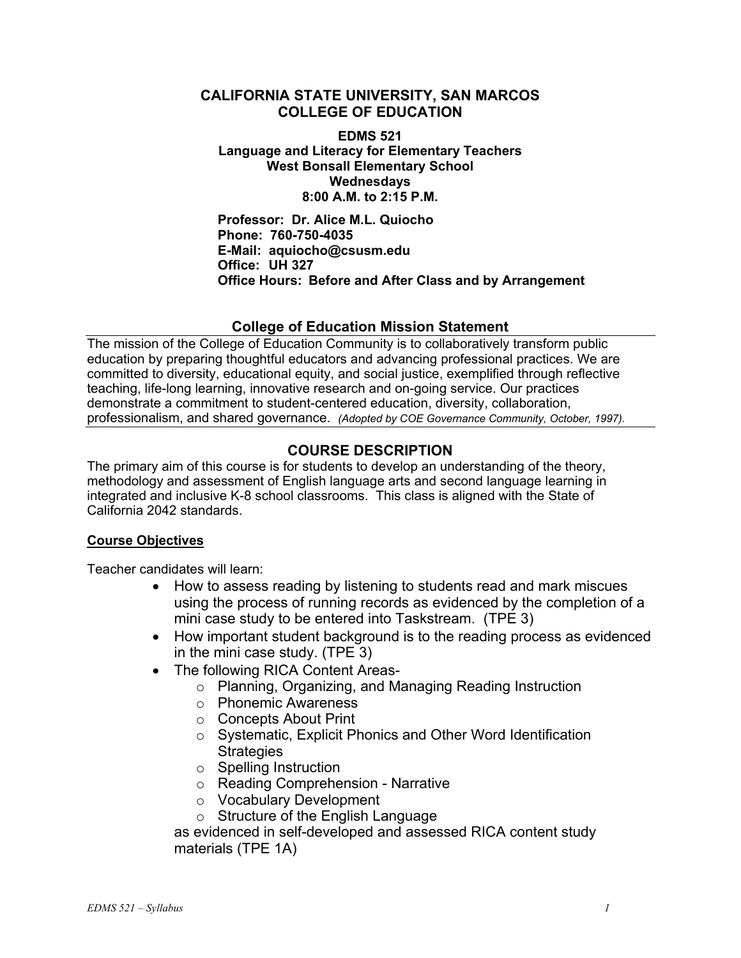## **CALIFORNIA STATE UNIVERSITY, SAN MARCOS COLLEGE OF EDUCATION**

**EDMS 521 Language and Literacy for Elementary Teachers West Bonsall Elementary School Wednesdays 8:00 A.M. to 2:15 P.M.** 

**Professor: Dr. Alice M.L. Quiocho Phone: 760-750-4035 E-Mail: aquiocho@csusm.edu Office: UH 327 Office Hours: Before and After Class and by Arrangement** 

### **College of Education Mission Statement**

The mission of the College of Education Community is to collaboratively transform public education by preparing thoughtful educators and advancing professional practices. We are committed to diversity, educational equity, and social justice, exemplified through reflective teaching, life-long learning, innovative research and on-going service. Our practices demonstrate a commitment to student-centered education, diversity, collaboration, professionalism, and shared governance. *(Adopted by COE Governance Community, October, 1997).* 

## **COURSE DESCRIPTION**

The primary aim of this course is for students to develop an understanding of the theory, methodology and assessment of English language arts and second language learning in integrated and inclusive K-8 school classrooms. This class is aligned with the State of California 2042 standards.

#### **Course Objectives**

Teacher candidates will learn:

- How to assess reading by listening to students read and mark miscues using the process of running records as evidenced by the completion of a mini case study to be entered into Taskstream. (TPE 3)
- How important student background is to the reading process as evidenced in the mini case study. (TPE 3)
- The following RICA Content Areas
	- o Planning, Organizing, and Managing Reading Instruction
	- o Phonemic Awareness
	- o Concepts About Print
	- o Systematic, Explicit Phonics and Other Word Identification **Strategies**
	- o Spelling Instruction
	- o Reading Comprehension Narrative
	- o Vocabulary Development
	- o Structure of the English Language

as evidenced in self-developed and assessed RICA content study materials (TPE 1A)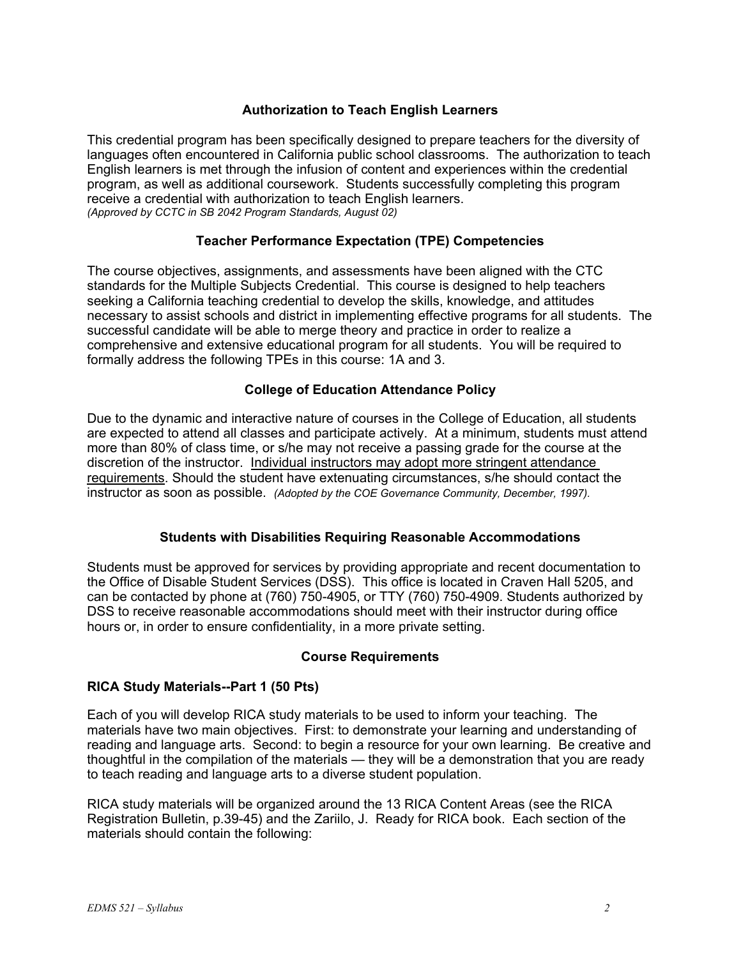### **Authorization to Teach English Learners**

This credential program has been specifically designed to prepare teachers for the diversity of languages often encountered in California public school classrooms. The authorization to teach English learners is met through the infusion of content and experiences within the credential program, as well as additional coursework. Students successfully completing this program receive a credential with authorization to teach English learners. *(Approved by CCTC in SB 2042 Program Standards, August 02)*

#### **Teacher Performance Expectation (TPE) Competencies**

The course objectives, assignments, and assessments have been aligned with the CTC standards for the Multiple Subjects Credential. This course is designed to help teachers seeking a California teaching credential to develop the skills, knowledge, and attitudes necessary to assist schools and district in implementing effective programs for all students. The successful candidate will be able to merge theory and practice in order to realize a comprehensive and extensive educational program for all students. You will be required to formally address the following TPEs in this course: 1A and 3.

### **College of Education Attendance Policy**

Due to the dynamic and interactive nature of courses in the College of Education, all students are expected to attend all classes and participate actively. At a minimum, students must attend more than 80% of class time, or s/he may not receive a passing grade for the course at the discretion of the instructor. Individual instructors may adopt more stringent attendance requirements. Should the student have extenuating circumstances, s/he should contact the instructor as soon as possible. *(Adopted by the COE Governance Community, December, 1997).*

### **Students with Disabilities Requiring Reasonable Accommodations**

Students must be approved for services by providing appropriate and recent documentation to the Office of Disable Student Services (DSS). This office is located in Craven Hall 5205, and can be contacted by phone at (760) 750-4905, or TTY (760) 750-4909. Students authorized by DSS to receive reasonable accommodations should meet with their instructor during office hours or, in order to ensure confidentiality, in a more private setting.

#### **Course Requirements**

#### **RICA Study Materials--Part 1 (50 Pts)**

Each of you will develop RICA study materials to be used to inform your teaching. The materials have two main objectives. First: to demonstrate your learning and understanding of reading and language arts. Second: to begin a resource for your own learning. Be creative and thoughtful in the compilation of the materials — they will be a demonstration that you are ready to teach reading and language arts to a diverse student population.

RICA study materials will be organized around the 13 RICA Content Areas (see the RICA Registration Bulletin, p.39-45) and the Zariilo, J. Ready for RICA book. Each section of the materials should contain the following: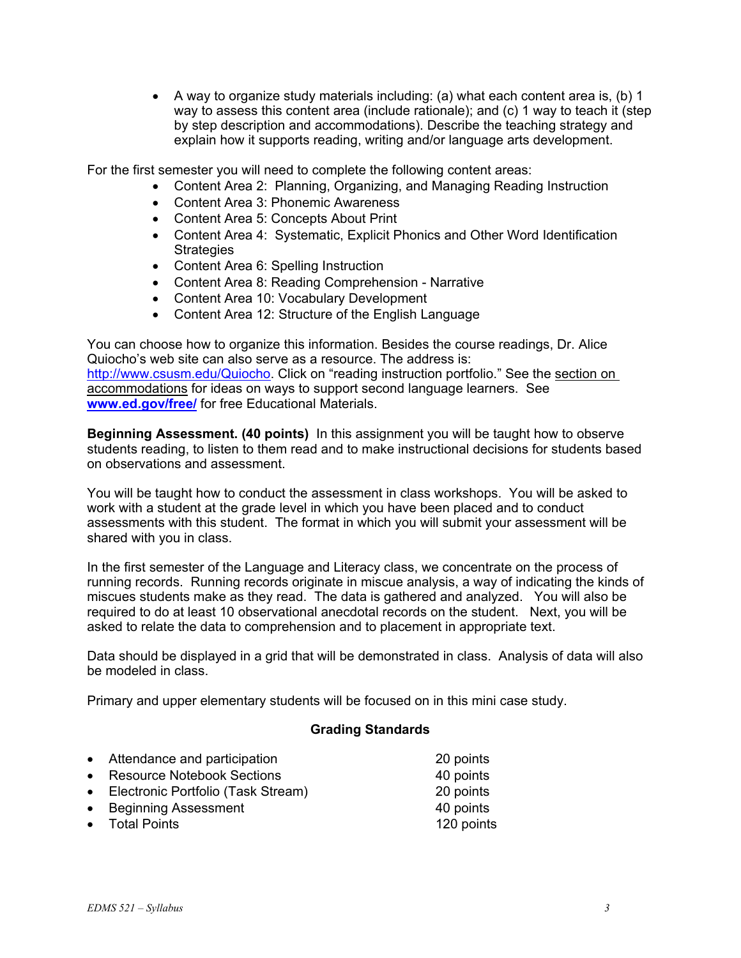• A way to organize study materials including: (a) what each content area is, (b) 1 way to assess this content area (include rationale); and (c) 1 way to teach it (step by step description and accommodations). Describe the teaching strategy and explain how it supports reading, writing and/or language arts development.

For the first semester you will need to complete the following content areas:

- Content Area 2: Planning, Organizing, and Managing Reading Instruction
- Content Area 3: Phonemic Awareness
- Content Area 5: Concepts About Print
- Content Area 4: Systematic, Explicit Phonics and Other Word Identification **Strategies**
- Content Area 6: Spelling Instruction
- Content Area 8: Reading Comprehension Narrative
- Content Area 10: Vocabulary Development
- Content Area 12: Structure of the English Language

You can choose how to organize this information. Besides the course readings, Dr. Alice Quiocho's web site can also serve as a resource. The address is: http://www.csusm.edu/Quiocho. Click on "reading instruction portfolio." See the section on accommodations for ideas on ways to support second language learners. See **www.ed.gov/free/** for free Educational Materials.

**Beginning Assessment. (40 points)** In this assignment you will be taught how to observe students reading, to listen to them read and to make instructional decisions for students based on observations and assessment.

You will be taught how to conduct the assessment in class workshops. You will be asked to work with a student at the grade level in which you have been placed and to conduct assessments with this student. The format in which you will submit your assessment will be shared with you in class.

In the first semester of the Language and Literacy class, we concentrate on the process of running records. Running records originate in miscue analysis, a way of indicating the kinds of miscues students make as they read. The data is gathered and analyzed. You will also be required to do at least 10 observational anecdotal records on the student. Next, you will be asked to relate the data to comprehension and to placement in appropriate text.

Data should be displayed in a grid that will be demonstrated in class. Analysis of data will also be modeled in class.

Primary and upper elementary students will be focused on in this mini case study.

#### **Grading Standards**

| • Attendance and participation       | 20 points   |
|--------------------------------------|-------------|
| • Resource Notebook Sections         | 40 points   |
| • Electronic Portfolio (Task Stream) | 20 points   |
| - Doginning Accordant                | $AD$ nointo |

- Beginning Assessment 40 points
- Total Points **120 points**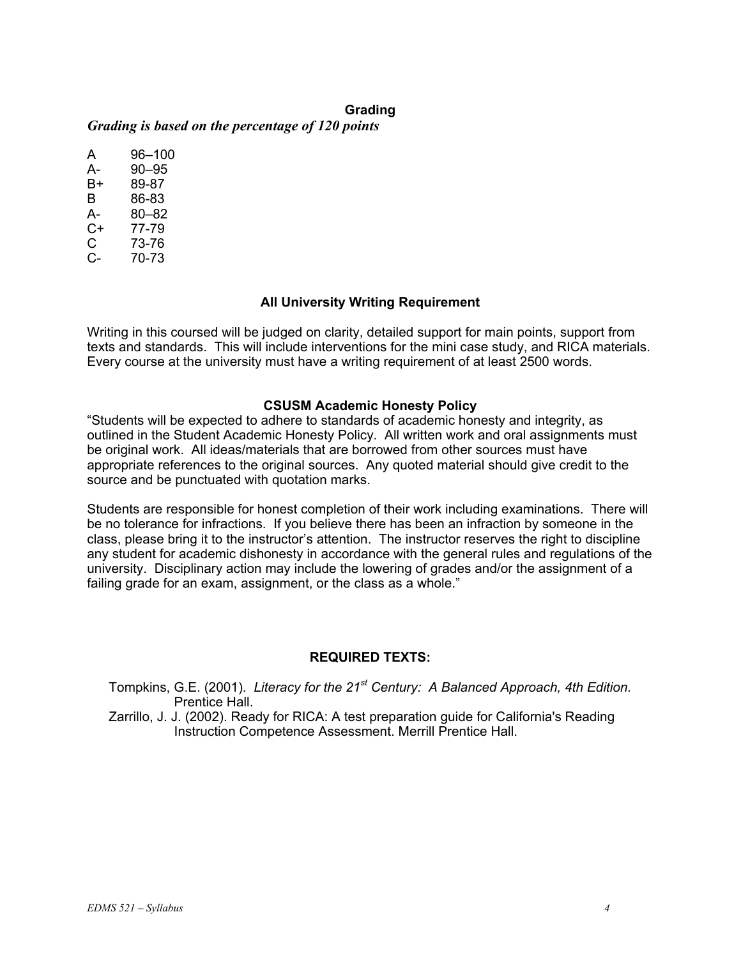### **Grading**

*Grading is based on the percentage of 120 points* 

A 96–100 A- 90–95 B+ 89-87 B 86-83 A- 80–82 C+ 77-79 C 73-76 C- 70-73

### **All University Writing Requirement**

Writing in this coursed will be judged on clarity, detailed support for main points, support from texts and standards. This will include interventions for the mini case study, and RICA materials. Every course at the university must have a writing requirement of at least 2500 words.

#### **CSUSM Academic Honesty Policy**

"Students will be expected to adhere to standards of academic honesty and integrity, as outlined in the Student Academic Honesty Policy. All written work and oral assignments must be original work. All ideas/materials that are borrowed from other sources must have appropriate references to the original sources. Any quoted material should give credit to the source and be punctuated with quotation marks.

Students are responsible for honest completion of their work including examinations. There will be no tolerance for infractions. If you believe there has been an infraction by someone in the class, please bring it to the instructor's attention. The instructor reserves the right to discipline any student for academic dishonesty in accordance with the general rules and regulations of the university. Disciplinary action may include the lowering of grades and/or the assignment of a failing grade for an exam, assignment, or the class as a whole."

### **REQUIRED TEXTS:**

Tompkins, G.E. (2001). *Literacy for the 21st Century: A Balanced Approach, 4th Edition.* Prentice Hall.

Zarrillo, J. J. (2002). Ready for RICA: A test preparation guide for California's Reading Instruction Competence Assessment. Merrill Prentice Hall.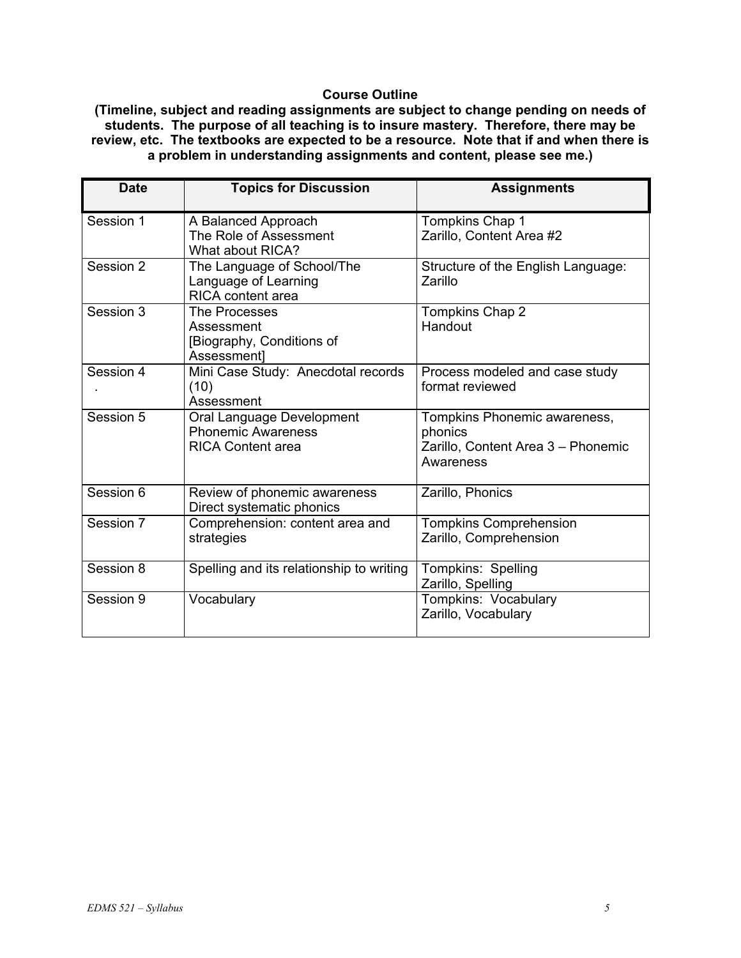## **Course Outline**

**(Timeline, subject and reading assignments are subject to change pending on needs of students. The purpose of all teaching is to insure mastery. Therefore, there may be review, etc. The textbooks are expected to be a resource. Note that if and when there is a problem in understanding assignments and content, please see me.)** 

| <b>Date</b> | <b>Topics for Discussion</b>                                                       | <b>Assignments</b>                                                                         |
|-------------|------------------------------------------------------------------------------------|--------------------------------------------------------------------------------------------|
| Session 1   | A Balanced Approach<br>The Role of Assessment<br>What about RICA?                  | Tompkins Chap 1<br>Zarillo, Content Area #2                                                |
| Session 2   | The Language of School/The<br>Language of Learning<br><b>RICA</b> content area     | Structure of the English Language:<br>Zarillo                                              |
| Session 3   | The Processes<br>Assessment<br>[Biography, Conditions of<br>Assessment]            | Tompkins Chap 2<br>Handout                                                                 |
| Session 4   | Mini Case Study: Anecdotal records<br>(10)<br>Assessment                           | Process modeled and case study<br>format reviewed                                          |
| Session 5   | Oral Language Development<br><b>Phonemic Awareness</b><br><b>RICA Content area</b> | Tompkins Phonemic awareness,<br>phonics<br>Zarillo, Content Area 3 - Phonemic<br>Awareness |
| Session 6   | Review of phonemic awareness<br>Direct systematic phonics                          | Zarillo, Phonics                                                                           |
| Session 7   | Comprehension: content area and<br>strategies                                      | <b>Tompkins Comprehension</b><br>Zarillo, Comprehension                                    |
| Session 8   | Spelling and its relationship to writing                                           | Tompkins: Spelling<br>Zarillo, Spelling                                                    |
| Session 9   | Vocabulary                                                                         | Tompkins: Vocabulary<br>Zarillo, Vocabulary                                                |